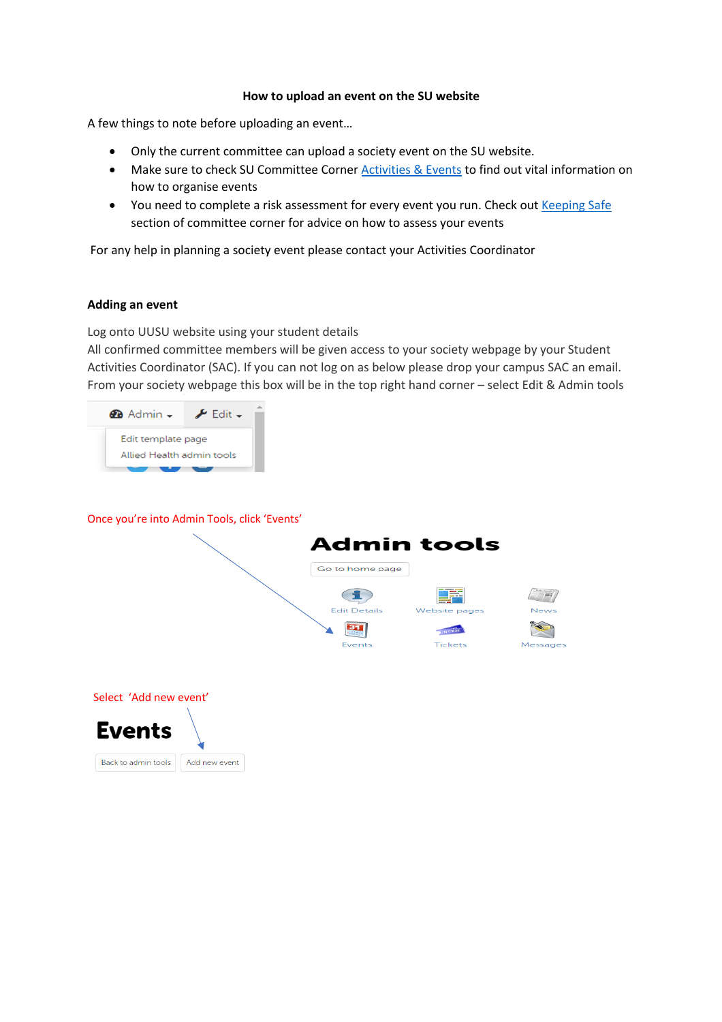## **How to upload an event on the SU website**

A few things to note before uploading an event…

- Only the current committee can upload a society event on the SU website.
- Make sure to check SU Committee Corner Activities & Events to find out vital information on how to organise events
- You need to complete a risk assessment for every event you run. Check out Keeping Safe section of committee corner for advice on how to assess your events

For any help in planning a society event please contact your Activities Coordinator

## **Adding an event**

Log onto UUSU website using your student details

All confirmed committee members will be given access to your society webpage by your Student Activities Coordinator (SAC). If you can not log on as below please drop your campus SAC an email. From your society webpage this box will be in the top right hand corner – select Edit & Admin tools



Once you're into Admin Tools, click 'Events'



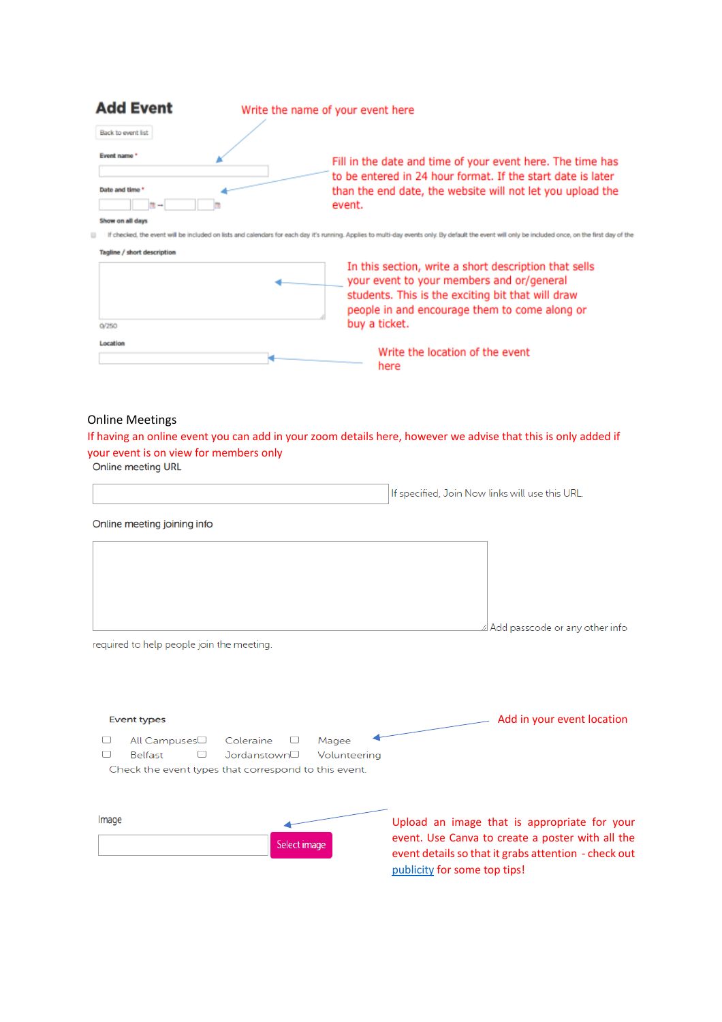| <b>Add Event</b>   | Write the name of your event here |                                                                                                                           |  |  |  |
|--------------------|-----------------------------------|---------------------------------------------------------------------------------------------------------------------------|--|--|--|
| Back to event list |                                   |                                                                                                                           |  |  |  |
| Event name *       |                                   | Fill in the date and time of your event here. The time has<br>to be entered in 24 hour format. If the start date is later |  |  |  |
| Date and time      |                                   | than the end date, the website will not let you upload the                                                                |  |  |  |
|                    |                                   | event.                                                                                                                    |  |  |  |
| Show on all days   |                                   |                                                                                                                           |  |  |  |

If checked, the event will be included on lists and calendars for each day it's running. Applies to multi-day events only. By default the event will only be included once, on the first day of the



## Online Meetings

If having an online event you can add in your zoom details here, however we advise that this is only added if your event is on view for members only

Online meeting URL

Online meeting joining info

|   | $\triangle$ Add passcode or any other info |
|---|--------------------------------------------|
|   |                                            |
| . |                                            |
|   |                                            |

required to help people join the meeting.

| Upload an image that is appropriate for your<br>event. Use Canva to create a poster with all the<br>event details so that it grabs attention - check out<br>publicity for some top tips! |
|------------------------------------------------------------------------------------------------------------------------------------------------------------------------------------------|
|                                                                                                                                                                                          |